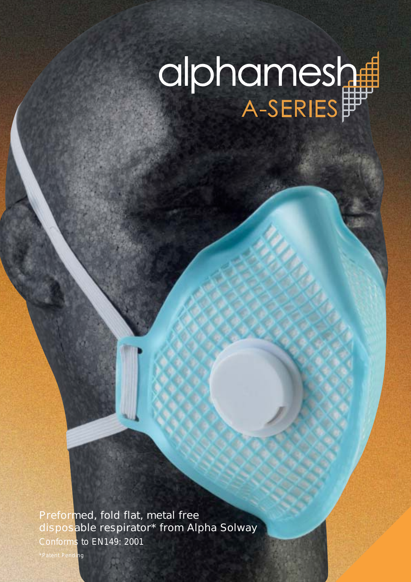## alphamesh#

Preformed, fold flat, metal free disposable respirator\* from Alpha Solway Conforms to EN149: 2001

\*Patent Pending